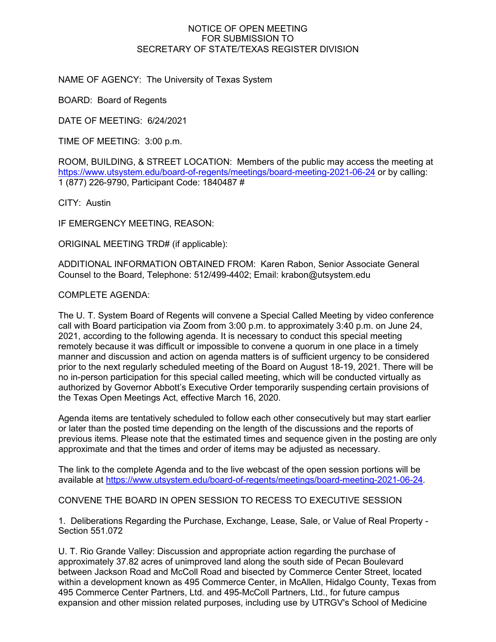## NOTICE OF OPEN MEETING FOR SUBMISSION TO SECRETARY OF STATE/TEXAS REGISTER DIVISION

NAME OF AGENCY: The University of Texas System

BOARD: Board of Regents

DATE OF MEETING: 6/24/2021

TIME OF MEETING: 3:00 p.m.

ROOM, BUILDING, & STREET LOCATION: Members of the public may access the meeting at <https://www.utsystem.edu/board-of-regents/meetings/board-meeting-2021-06-24> or by calling: 1 (877) 226-9790, Participant Code: 1840487 #

CITY: Austin

IF EMERGENCY MEETING, REASON:

ORIGINAL MEETING TRD# (if applicable):

ADDITIONAL INFORMATION OBTAINED FROM: Karen Rabon, Senior Associate General Counsel to the Board, Telephone: 512/499-4402; Email: krabon@utsystem.edu

## COMPLETE AGENDA:

The U. T. System Board of Regents will convene a Special Called Meeting by video conference call with Board participation via Zoom from 3:00 p.m. to approximately 3:40 p.m. on June 24, 2021, according to the following agenda. It is necessary to conduct this special meeting remotely because it was difficult or impossible to convene a quorum in one place in a timely manner and discussion and action on agenda matters is of sufficient urgency to be considered prior to the next regularly scheduled meeting of the Board on August 18-19, 2021. There will be no in-person participation for this special called meeting, which will be conducted virtually as authorized by Governor Abbott's Executive Order temporarily suspending certain provisions of the Texas Open Meetings Act, effective March 16, 2020.

Agenda items are tentatively scheduled to follow each other consecutively but may start earlier or later than the posted time depending on the length of the discussions and the reports of previous items. Please note that the estimated times and sequence given in the posting are only approximate and that the times and order of items may be adjusted as necessary.

The link to the complete Agenda and to the live webcast of the open session portions will be available at [https://www.utsystem.edu/board-of-regents/meetings/board-meeting-2021-06-24.](https://www.utsystem.edu/board-of-regents/meetings/board-meeting-2021-06-24)

CONVENE THE BOARD IN OPEN SESSION TO RECESS TO EXECUTIVE SESSION

1. Deliberations Regarding the Purchase, Exchange, Lease, Sale, or Value of Real Property - Section 551.072

U. T. Rio Grande Valley: Discussion and appropriate action regarding the purchase of approximately 37.82 acres of unimproved land along the south side of Pecan Boulevard between Jackson Road and McColl Road and bisected by Commerce Center Street, located within a development known as 495 Commerce Center, in McAllen, Hidalgo County, Texas from 495 Commerce Center Partners, Ltd. and 495-McColl Partners, Ltd., for future campus expansion and other mission related purposes, including use by UTRGV's School of Medicine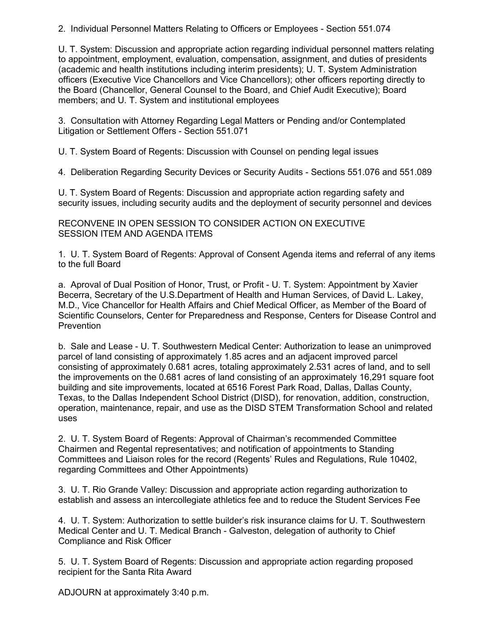2. Individual Personnel Matters Relating to Officers or Employees - Section 551.074

U. T. System: Discussion and appropriate action regarding individual personnel matters relating to appointment, employment, evaluation, compensation, assignment, and duties of presidents (academic and health institutions including interim presidents); U. T. System Administration officers (Executive Vice Chancellors and Vice Chancellors); other officers reporting directly to the Board (Chancellor, General Counsel to the Board, and Chief Audit Executive); Board members; and U. T. System and institutional employees

3. Consultation with Attorney Regarding Legal Matters or Pending and/or Contemplated Litigation or Settlement Offers - Section 551.071

U. T. System Board of Regents: Discussion with Counsel on pending legal issues

4. Deliberation Regarding Security Devices or Security Audits - Sections 551.076 and 551.089

U. T. System Board of Regents: Discussion and appropriate action regarding safety and security issues, including security audits and the deployment of security personnel and devices

RECONVENE IN OPEN SESSION TO CONSIDER ACTION ON EXECUTIVE SESSION ITEM AND AGENDA ITEMS

1. U. T. System Board of Regents: Approval of Consent Agenda items and referral of any items to the full Board

a. Aproval of Dual Position of Honor, Trust, or Profit - U. T. System: Appointment by Xavier Becerra, Secretary of the U.S.Department of Health and Human Services, of David L. Lakey, M.D., Vice Chancellor for Health Affairs and Chief Medical Officer, as Member of the Board of Scientific Counselors, Center for Preparedness and Response, Centers for Disease Control and Prevention

b. Sale and Lease - U. T. Southwestern Medical Center: Authorization to lease an unimproved parcel of land consisting of approximately 1.85 acres and an adjacent improved parcel consisting of approximately 0.681 acres, totaling approximately 2.531 acres of land, and to sell the improvements on the 0.681 acres of land consisting of an approximately 16,291 square foot building and site improvements, located at 6516 Forest Park Road, Dallas, Dallas County, Texas, to the Dallas Independent School District (DISD), for renovation, addition, construction, operation, maintenance, repair, and use as the DISD STEM Transformation School and related uses

2. U. T. System Board of Regents: Approval of Chairman's recommended Committee Chairmen and Regental representatives; and notification of appointments to Standing Committees and Liaison roles for the record (Regents' Rules and Regulations, Rule 10402, regarding Committees and Other Appointments)

3. U. T. Rio Grande Valley: Discussion and appropriate action regarding authorization to establish and assess an intercollegiate athletics fee and to reduce the Student Services Fee

4. U. T. System: Authorization to settle builder's risk insurance claims for U. T. Southwestern Medical Center and U. T. Medical Branch - Galveston, delegation of authority to Chief Compliance and Risk Officer

5. U. T. System Board of Regents: Discussion and appropriate action regarding proposed recipient for the Santa Rita Award

ADJOURN at approximately 3:40 p.m.